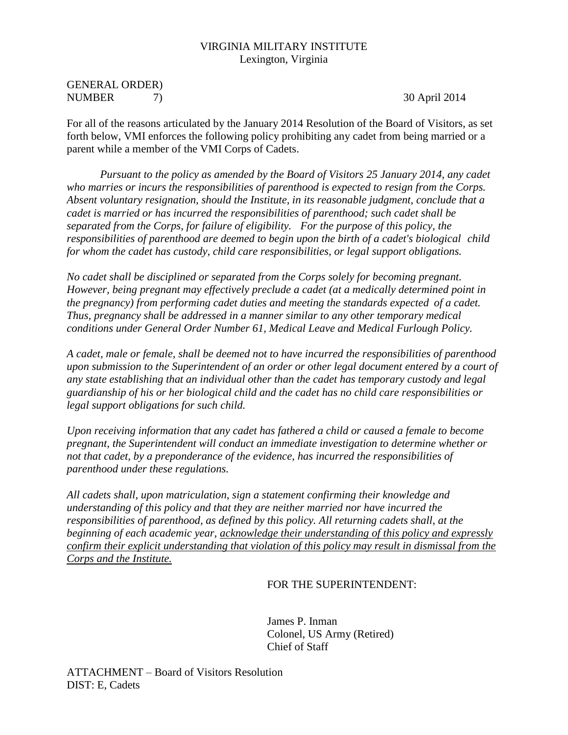## VIRGINIA MILITARY INSTITUTE Lexington, Virginia

## GENERAL ORDER) NUMBER 7) 30 April 2014

For all of the reasons articulated by the January 2014 Resolution of the Board of Visitors, as set forth below, VMI enforces the following policy prohibiting any cadet from being married or a parent while a member of the VMI Corps of Cadets.

*Pursuant to the policy as amended by the Board of Visitors 25 January 2014, any cadet who marries or incurs the responsibilities of parenthood is expected to resign from the Corps. Absent voluntary resignation, should the Institute, in its reasonable judgment, conclude that a cadet is married or has incurred the responsibilities of parenthood; such cadet shall be separated from the Corps, for failure of eligibility. For the purpose of this policy, the responsibilities of parenthood are deemed to begin upon the birth of a cadet's biological child for whom the cadet has custody, child care responsibilities, or legal support obligations.* 

*No cadet shall be disciplined or separated from the Corps solely for becoming pregnant. However, being pregnant may effectively preclude a cadet (at a medically determined point in the pregnancy) from performing cadet duties and meeting the standards expected of a cadet. Thus, pregnancy shall be addressed in a manner similar to any other temporary medical conditions under General Order Number 61, Medical Leave and Medical Furlough Policy.*

*A cadet, male or female, shall be deemed not to have incurred the responsibilities of parenthood upon submission to the Superintendent of an order or other legal document entered by a court of any state establishing that an individual other than the cadet has temporary custody and legal guardianship of his or her biological child and the cadet has no child care responsibilities or legal support obligations for such child.* 

*Upon receiving information that any cadet has fathered a child or caused a female to become pregnant, the Superintendent will conduct an immediate investigation to determine whether or not that cadet, by a preponderance of the evidence, has incurred the responsibilities of parenthood under these regulations.*

*All cadets shall, upon matriculation, sign a statement confirming their knowledge and understanding of this policy and that they are neither married nor have incurred the responsibilities of parenthood, as defined by this policy. All returning cadets shall, at the beginning of each academic year, acknowledge their understanding of this policy and expressly confirm their explicit understanding that violation of this policy may result in dismissal from the Corps and the Institute.*

## FOR THE SUPERINTENDENT:

 James P. Inman Colonel, US Army (Retired) Chief of Staff